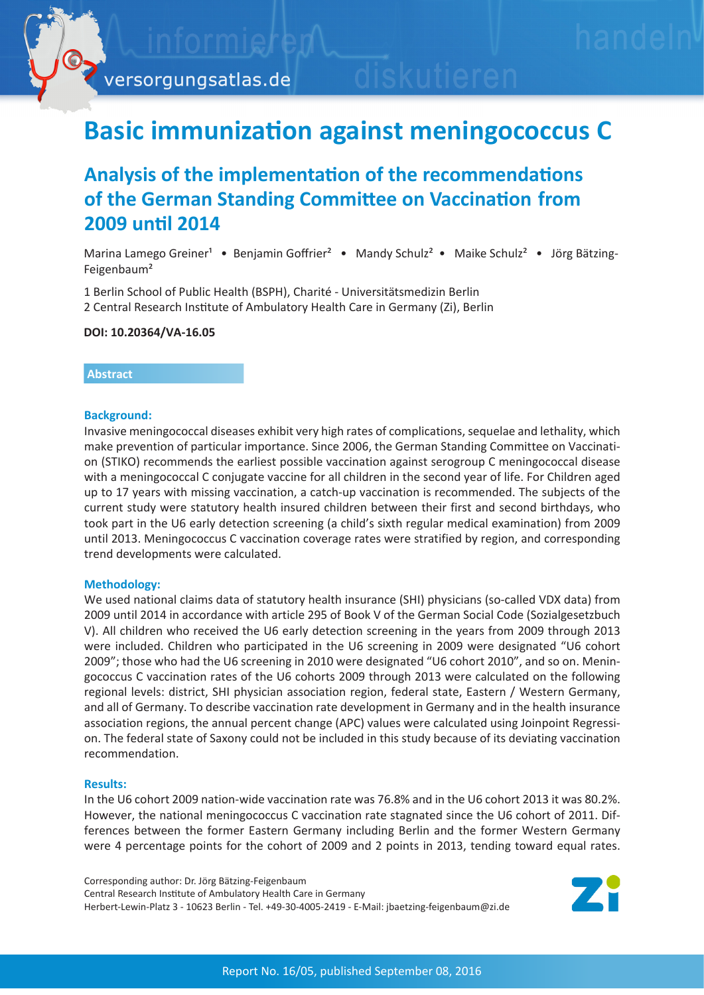

# **Basic immunization against meningococcus C**

## **Analysis of the implementation of the recommendations of the German Standing Committee on Vaccination from 2009 until 2014**

Marina Lamego Greiner<sup>1</sup> • Benjamin Goffrier<sup>2</sup> • Mandy Schulz<sup>2</sup> • Maike Schulz<sup>2</sup> • Jörg Bätzing-Feigenbaum²

1 Berlin School of Public Health (BSPH), Charité - Universitätsmedizin Berlin 2 Central Research Institute of Ambulatory Health Care in Germany (Zi), Berlin

**DOI: 10.20364/VA-16.05**

### **Abstract**

### **Background:**

Invasive meningococcal diseases exhibit very high rates of complications, sequelae and lethality, which make prevention of particular importance. Since 2006, the German Standing Committee on Vaccination (STIKO) recommends the earliest possible vaccination against serogroup C meningococcal disease with a meningococcal C conjugate vaccine for all children in the second year of life. For Children aged up to 17 years with missing vaccination, a catch-up vaccination is recommended. The subjects of the current study were statutory health insured children between their first and second birthdays, who took part in the U6 early detection screening (a child's sixth regular medical examination) from 2009 until 2013. Meningococcus C vaccination coverage rates were stratified by region, and corresponding trend developments were calculated.

### **Methodology:**

We used national claims data of statutory health insurance (SHI) physicians (so-called VDX data) from 2009 until 2014 in accordance with article 295 of Book V of the German Social Code (Sozialgesetzbuch V). All children who received the U6 early detection screening in the years from 2009 through 2013 were included. Children who participated in the U6 screening in 2009 were designated "U6 cohort 2009"; those who had the U6 screening in 2010 were designated "U6 cohort 2010", and so on. Meningococcus C vaccination rates of the U6 cohorts 2009 through 2013 were calculated on the following regional levels: district, SHI physician association region, federal state, Eastern / Western Germany, and all of Germany. To describe vaccination rate development in Germany and in the health insurance association regions, the annual percent change (APC) values were calculated using Joinpoint Regression. The federal state of Saxony could not be included in this study because of its deviating vaccination recommendation.

### **Results:**

In the U6 cohort 2009 nation-wide vaccination rate was 76.8% and in the U6 cohort 2013 it was 80.2%. However, the national meningococcus C vaccination rate stagnated since the U6 cohort of 2011. Differences between the former Eastern Germany including Berlin and the former Western Germany were 4 percentage points for the cohort of 2009 and 2 points in 2013, tending toward equal rates.

Corresponding author: Dr. Jörg Bätzing-Feigenbaum Central Research Institute of Ambulatory Health Care in Germany Herbert-Lewin-Platz 3 - 10623 Berlin - Tel. +49-30-4005-2419 - E-Mail: jbaetzing-feigenbaum@zi.de